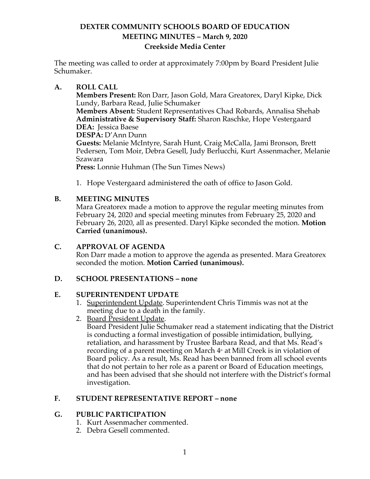# **DEXTER COMMUNITY SCHOOLS BOARD OF EDUCATION MEETING MINUTES – March 9, 2020 Creekside Media Center**

The meeting was called to order at approximately 7:00pm by Board President Julie Schumaker.

### **A. ROLL CALL**

**Members Present:** Ron Darr, Jason Gold, Mara Greatorex, Daryl Kipke, Dick Lundy, Barbara Read, Julie Schumaker

**Members Absent:** Student Representatives Chad Robards, Annalisa Shehab **Administrative & Supervisory Staff:** Sharon Raschke, Hope Vestergaard **DEA:** Jessica Baese

**DESPA:** D'Ann Dunn

**Guests:** Melanie McIntyre, Sarah Hunt, Craig McCalla, Jami Bronson, Brett Pedersen, Tom Moir, Debra Gesell, Judy Berlucchi, Kurt Assenmacher, Melanie Szawara

**Press:** Lonnie Huhman (The Sun Times News)

1. Hope Vestergaard administered the oath of office to Jason Gold.

# **B. MEETING MINUTES**

Mara Greatorex made a motion to approve the regular meeting minutes from February 24, 2020 and special meeting minutes from February 25, 2020 and February 26, 2020, all as presented. Daryl Kipke seconded the motion. **Motion Carried (unanimous).**

# **C. APPROVAL OF AGENDA**

Ron Darr made a motion to approve the agenda as presented. Mara Greatorex seconded the motion. **Motion Carried (unanimous).**

## **D. SCHOOL PRESENTATIONS – none**

## **E. SUPERINTENDENT UPDATE**

- 1. Superintendent Update. Superintendent Chris Timmis was not at the meeting due to a death in the family.
- 2. Board President Update.

Board President Julie Schumaker read a statement indicating that the District is conducting a formal investigation of possible intimidation, bullying, retaliation, and harassment by Trustee Barbara Read, and that Ms. Read's recording of a parent meeting on March  $4<sup>th</sup>$  at Mill Creek is in violation of Board policy. As a result, Ms. Read has been banned from all school events that do not pertain to her role as a parent or Board of Education meetings, and has been advised that she should not interfere with the District's formal investigation.

## **F. STUDENT REPRESENTATIVE REPORT – none**

## **G. PUBLIC PARTICIPATION**

- 1. Kurt Assenmacher commented.
- 2. Debra Gesell commented.